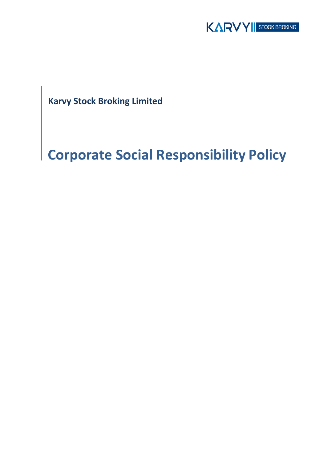

**Karvy Stock Broking Limited**

# **Corporate Social Responsibility Policy**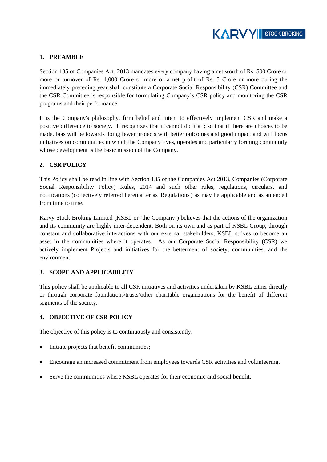

# **1. PREAMBLE**

Section 135 of Companies Act, 2013 mandates every company having a net worth of Rs. 500 Crore or more or turnover of Rs. 1,000 Crore or more or a net profit of Rs. 5 Crore or more during the immediately preceding year shall constitute a Corporate Social Responsibility (CSR) Committee and the CSR Committee is responsible for formulating Company's CSR policy and monitoring the CSR programs and their performance.

It is the Company's philosophy, firm belief and intent to effectively implement CSR and make a positive difference to society. It recognizes that it cannot do it all; so that if there are choices to be made, bias will be towards doing fewer projects with better outcomes and good impact and will focus initiatives on communities in which the Company lives, operates and particularly forming community whose development is the basic mission of the Company.

## **2. CSR POLICY**

This Policy shall be read in line with Section 135 of the Companies Act 2013, Companies (Corporate Social Responsibility Policy) Rules, 2014 and such other rules, regulations, circulars, and notifications (collectively referred hereinafter as 'Regulations') as may be applicable and as amended from time to time.

Karvy Stock Broking Limited (KSBL or 'the Company') believes that the actions of the organization and its community are highly inter-dependent. Both on its own and as part of KSBL Group, through constant and collaborative interactions with our external stakeholders, KSBL strives to become an asset in the communities where it operates. As our Corporate Social Responsibility (CSR) we actively implement Projects and initiatives for the betterment of society, communities, and the environment.

#### **3. SCOPE AND APPLICABILITY**

This policy shall be applicable to all CSR initiatives and activities undertaken by KSBL either directly or through corporate foundations/trusts/other charitable organizations for the benefit of different segments of the society.

#### **4. OBJECTIVE OF CSR POLICY**

The objective of this policy is to continuously and consistently:

- Initiate projects that benefit communities;
- Encourage an increased commitment from employees towards CSR activities and volunteering.
- Serve the communities where KSBL operates for their economic and social benefit.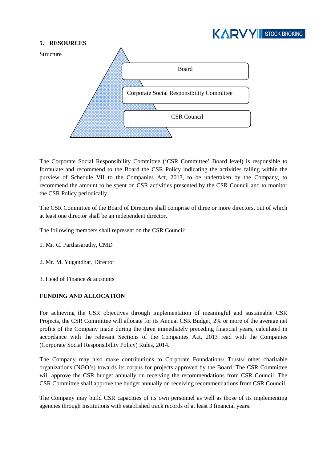

#### **5. RESOURCES**



The Corporate Social Responsibility Committee ('CSR Committee' Board level) is responsible to formulate and recommend to the Board the CSR Policy indicating the activities falling within the purview of Schedule VII to the Companies Act, 2013, to be undertaken by the Company, to recommend the amount to be spent on CSR activities presented by the CSR Council and to monitor the CSR Policy periodically.

The CSR Committee of the Board of Directors shall comprise of three or more directors, out of which at least one director shall be an independent director.

The following members shall represent on the CSR Council:

- 1. Mr. C. Parthasarathy, CMD
- 2. Mr. M. Yugandhar, Director
- 3. Head of Finance & accounts

## **FUNDING AND ALLOCATION**

For achieving the CSR objectives through implementation of meaningful and sustainable CSR Projects, the CSR Committee will allocate for its Annual CSR Budget, 2% or more of the average net profits of the Company made during the three immediately preceding financial years, calculated in accordance with the relevant Sections of the Companies Act, 2013 read with the Companies (Corporate Social Responsibility Policy) Rules, 2014.

The Company may also make contributions to Corporate Foundations/ Trusts/ other charitable organizations (NGO's) towards its corpus for projects approved by the Board. The CSR Committee will approve the CSR budget annually on receiving the recommendations from CSR Council. The CSR Committee shall approve the budget annually on receiving recommendations from CSR Council.

The Company may build CSR capacities of its own personnel as well as those of its implementing agencies through Institutions with established track records of at least 3 financial years.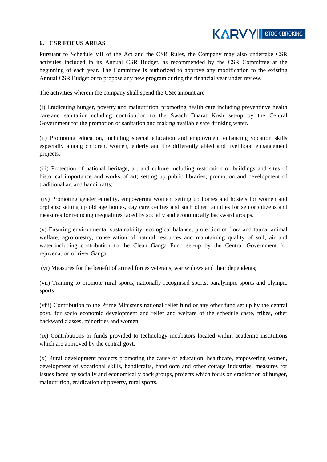

#### **6. CSR FOCUS AREAS**

Pursuant to Schedule VII of the Act and the CSR Rules, the Company may also undertake CSR activities included in its Annual CSR Budget, as recommended by the CSR Committee at the beginning of each year. The Committee is authorized to approve any modification to the existing Annual CSR Budget or to propose any new program during the financial year under review.

The activities wherein the company shall spend the CSR amount are

(i) Eradicating hunger, poverty and malnutrition, promoting health care including preventinve health care and sanitation including contribution to the Swach Bharat Kosh set-up by the Central Government for the promotion of sanitation and making available safe drinking water.

(ii) Promoting education, including special education and employment enhancing vocation skills especially among children, women, elderly and the differently abled and livelihood enhancement projects.

(iii) Protection of national heritage, art and culture including restoration of buildings and sites of historical importance and works of art; setting up public libraries; promotion and development of traditional art and handicrafts;

(iv) Promoting gender equality, empowering women, setting up homes and hostels for women and orphans; setting up old age homes, day care centres and such other facilities for senior citizens and measures for reducing inequalities faced by socially and economically backward groups.

(v) Ensuring environmental sustainability, ecological balance, protection of flora and fauna, animal welfare, agroforestry, conservation of natural resources and maintaining quality of soil, air and water including contribution to the Clean Ganga Fund set-up by the Central Government for rejuvenation of river Ganga.

(vi) Measures for the benefit of armed forces veterans, war widows and their dependents;

(vii) Training to promote rural sports, nationally recognised sports, paralympic sports and olympic sports

(viii) Contribution to the Prime Minister's national relief fund or any other fund set up by the central govt. for socio economic development and relief and welfare of the schedule caste, tribes, other backward classes, minorities and women;

(ix) Contributions or funds provided to technology incubators located within academic institutions which are approved by the central govt.

(x) Rural development projects promoting the cause of education, healthcare, empowering women, development of vocational skills, handicrafts, handloom and other cottage industries, measures for issues faced by socially and economically back groups, projects which focus on eradication of hunger, malnutrition, eradication of poverty, rural sports.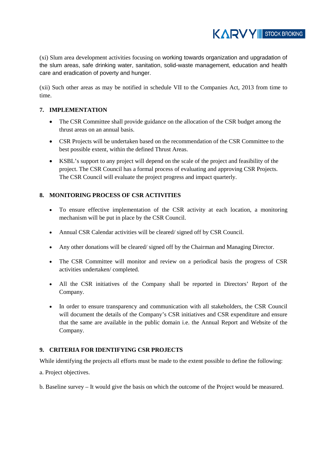KARVY II STOCK BROKING

(xi) Slum area development activities focusing on working towards organization and upgradation of the slum areas, safe drinking water, sanitation, solid-waste management, education and health care and eradication of poverty and hunger.

(xii) Such other areas as may be notified in schedule VII to the Companies Act, 2013 from time to time.

# **7. IMPLEMENTATION**

- The CSR Committee shall provide guidance on the allocation of the CSR budget among the thrust areas on an annual basis.
- CSR Projects will be undertaken based on the recommendation of the CSR Committee to the best possible extent, within the defined Thrust Areas.
- KSBL's support to any project will depend on the scale of the project and feasibility of the project. The CSR Council has a formal process of evaluating and approving CSR Projects. The CSR Council will evaluate the project progress and impact quarterly.

# **8. MONITORING PROCESS OF CSR ACTIVITIES**

- To ensure effective implementation of the CSR activity at each location, a monitoring mechanism will be put in place by the CSR Council.
- Annual CSR Calendar activities will be cleared/ signed off by CSR Council.
- Any other donations will be cleared/signed off by the Chairman and Managing Director.
- The CSR Committee will monitor and review on a periodical basis the progress of CSR activities undertaken/ completed.
- All the CSR initiatives of the Company shall be reported in Directors' Report of the Company.
- In order to ensure transparency and communication with all stakeholders, the CSR Council will document the details of the Company's CSR initiatives and CSR expenditure and ensure that the same are available in the public domain i.e. the Annual Report and Website of the Company.

## **9. CRITERIA FOR IDENTIFYING CSR PROJECTS**

While identifying the projects all efforts must be made to the extent possible to define the following:

a. Project objectives.

b. Baseline survey – It would give the basis on which the outcome of the Project would be measured.